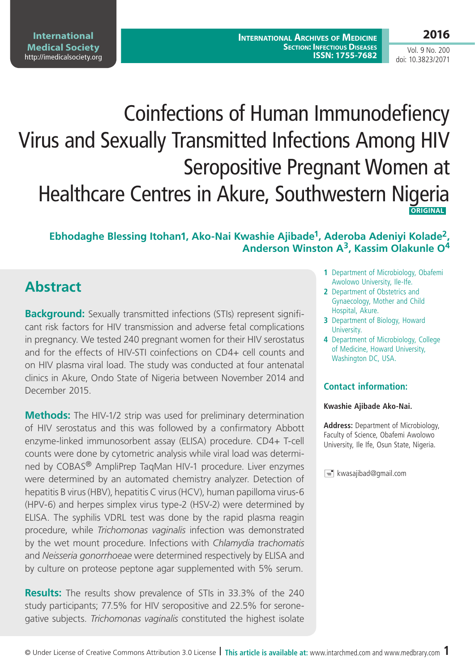Vol. 9 No. 200 doi: 10.3823/2071

# Coinfections of Human Immunodefiency Virus and Sexually Transmitted Infections Among HIV Seropositive Pregnant Women at Healthcare Centres in Akure, Southwestern Nigeria **ORIGINAL**

#### **Ebhodaghe Blessing Itohan1, Ako-Nai Kwashie Ajibade1, Aderoba Adeniyi Kolade2, Anderson Winston A3, Kassim Olakunle O4**

# **Abstract**

**Background:** Sexually transmitted infections (STIs) represent significant risk factors for HIV transmission and adverse fetal complications in pregnancy. We tested 240 pregnant women for their HIV serostatus and for the effects of HIV-STI coinfections on CD4+ cell counts and on HIV plasma viral load. The study was conducted at four antenatal clinics in Akure, Ondo State of Nigeria between November 2014 and December 2015.

**Methods:** The HIV-1/2 strip was used for preliminary determination of HIV serostatus and this was followed by a confirmatory Abbott enzyme-linked immunosorbent assay (ELISA) procedure. CD4+ T-cell counts were done by cytometric analysis while viral load was determined by COBAS® AmpliPrep TaqMan HIV-1 procedure. Liver enzymes were determined by an automated chemistry analyzer. Detection of hepatitis B virus (HBV), hepatitis C virus (HCV), human papilloma virus-6 (HPV-6) and herpes simplex virus type-2 (HSV-2) were determined by ELISA. The syphilis VDRL test was done by the rapid plasma reagin procedure, while *Trichomonas vaginalis* infection was demonstrated by the wet mount procedure. Infections with *Chlamydia trachomatis*  and *Neisseria gonorrhoeae* were determined respectively by ELISA and by culture on proteose peptone agar supplemented with 5% serum.

**Results:** The results show prevalence of STIs in 33.3% of the 240 study participants; 77.5% for HIV seropositive and 22.5% for seronegative subjects. *Trichomonas vaginalis* constituted the highest isolate

- **1** Department of Microbiology, Obafemi Awolowo University, Ile-Ife.
- **2** Department of Obstetrics and Gynaecology, Mother and Child Hospital, Akure.
- **3** Department of Biology, Howard University.
- **4** Department of Microbiology, College of Medicine, Howard University, Washington DC, USA.

#### **Contact information:**

#### **Kwashie Ajibade Ako-Nai.**

**Address:** Department of Microbiology, Faculty of Science, Obafemi Awolowo University, Ile Ife, Osun State, Nigeria.

 $\equiv$  kwasajibad@gmail.com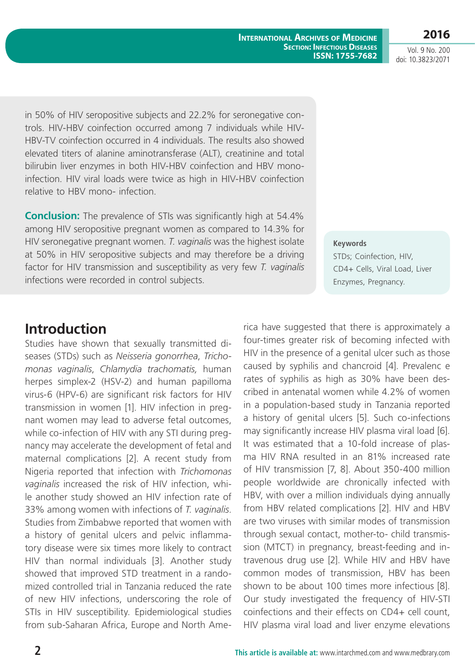**International Archives of Medicine Section: Infectious Diseases ISSN: 1755-7682** **2016**

Vol. 9 No. 200 doi: 10.3823/2071

in 50% of HIV seropositive subjects and 22.2% for seronegative controls. HIV-HBV coinfection occurred among 7 individuals while HIV-HBV-TV coinfection occurred in 4 individuals. The results also showed elevated titers of alanine aminotransferase (ALT), creatinine and total bilirubin liver enzymes in both HIV-HBV coinfection and HBV monoinfection. HIV viral loads were twice as high in HIV-HBV coinfection relative to HBV mono- infection.

**Conclusion:** The prevalence of STIs was significantly high at 54.4% among HIV seropositive pregnant women as compared to 14.3% for HIV seronegative pregnant women. *T. vaginalis* was the highest isolate at 50% in HIV seropositive subjects and may therefore be a driving factor for HIV transmission and susceptibility as very few *T. vaginalis* infections were recorded in control subjects.

#### **Keywords**

STDs; Coinfection, HIV, CD4+ Cells, Viral Load, Liver Enzymes, Pregnancy.

### **Introduction**

Studies have shown that sexually transmitted diseases (STDs) such as *Neisseria gonorrhea*, *Trichomonas vaginalis*, *Chlamydia trachomatis,* human herpes simplex-2 (HSV-2) and human papilloma virus-6 (HPV-6) are significant risk factors for HIV transmission in women [1]. HIV infection in pregnant women may lead to adverse fetal outcomes, while co-infection of HIV with any STI during pregnancy may accelerate the development of fetal and maternal complications [2]. A recent study from Nigeria reported that infection with *Trichomonas vaginalis* increased the risk of HIV infection, while another study showed an HIV infection rate of 33% among women with infections of *T. vaginalis*. Studies from Zimbabwe reported that women with a history of genital ulcers and pelvic inflammatory disease were six times more likely to contract HIV than normal individuals [3]. Another study showed that improved STD treatment in a randomized controlled trial in Tanzania reduced the rate of new HIV infections, underscoring the role of STIs in HIV susceptibility. Epidemiological studies from sub-Saharan Africa, [Europe](http://en.wikipedia.org/wiki/Europe) and [North Ame-](http://en.wikipedia.org/wiki/North_America) [rica](http://en.wikipedia.org/wiki/North_America) have suggested that there is approximately a four-times greater risk of becoming infected with HIV in the presence of a genital ulcer such as those caused by [syphilis](http://en.wikipedia.org/wiki/Syphilis) and [chancroid](http://en.wikipedia.org/wiki/Chancroid) [4]. Prevalenc e rates of syphilis as high as 30% have been described in antenatal women while 4.2% of women in a population-based study in Tanzania reported a history of genital ulcers [5]. Such co-infections may significantly increase HIV plasma viral load [6]. It was estimated that a 10-fold increase of plasma HIV RNA resulted in an 81% increased rate of HIV transmission [7, 8]. About 350-400 million people worldwide are chronically infected with HBV, with over a million individuals dying annually from HBV related complications [2]. HIV and HBV are two viruses with similar modes of transmission through sexual contact, mother-to- child transmission (MTCT) in pregnancy, breast-feeding and intravenous drug use [2]. While HIV and HBV have common modes of transmission, HBV has been shown to be about 100 times more infectious [8]. Our study investigated the frequency of HIV-STI coinfections and their effects on CD4+ cell count, HIV plasma viral load and liver enzyme elevations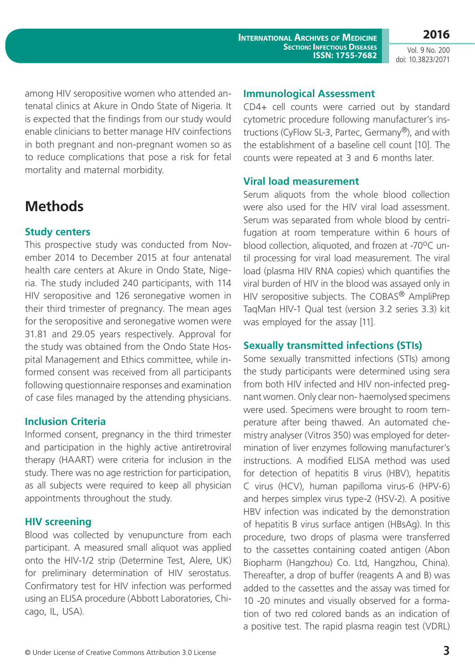© Under License of Creative Commons Attribution 3.0 License **3**

**International Archives of Medicine Section: Infectious Diseases ISSN: 1755-7682**

Vol. 9 No. 200 doi: 10.3823/2071

**2016**

among HIV seropositive women who attended antenatal clinics at Akure in Ondo State of Nigeria. It is expected that the findings from our study would enable clinicians to better manage HIV coinfections in both pregnant and non-pregnant women so as to reduce complications that pose a risk for fetal mortality and maternal morbidity.

# **Methods**

#### **Study centers**

This prospective study was conducted from November 2014 to December 2015 at four antenatal health care centers at Akure in Ondo State, Nigeria. The study included 240 participants, with 114 HIV seropositive and 126 seronegative women in their third trimester of pregnancy. The mean ages for the seropositive and seronegative women were 31.81 and 29.05 years respectively. Approval for the study was obtained from the Ondo State Hospital Management and Ethics committee, while informed consent was received from all participants following questionnaire responses and examination of case files managed by the attending physicians.

#### **Inclusion Criteria**

Informed consent, pregnancy in the third trimester and participation in the highly active antiretroviral therapy (HAART) were criteria for inclusion in the study. There was no age restriction for participation, as all subjects were required to keep all physician appointments throughout the study.

#### **HIV screening**

Blood was collected by venupuncture from each participant. A measured small aliquot was applied onto the HIV-1/2 strip (Determine Test, Alere, UK) for preliminary determination of HIV serostatus. Confirmatory test for HIV infection was performed using an ELISA procedure (Abbott Laboratories, Chicago, IL, USA).

#### **Immunological Assessment**

CD4+ cell counts were carried out by standard cytometric procedure following manufacturer's instructions (CyFlow SL-3, Partec, Germany®), and with the establishment of a baseline cell count [10]. The counts were repeated at 3 and 6 months later.

#### **Viral load measurement**

Serum aliquots from the whole blood collection were also used for the HIV viral load assessment. Serum was separated from whole blood by centrifugation at room temperature within 6 hours of blood collection, aliquoted, and frozen at -70°C until processing for viral load measurement. The viral load (plasma HIV RNA copies) which quantifies the viral burden of HIV in the blood was assayed only in HIV seropositive subjects. The COBAS<sup>®</sup> AmpliPrep TaqMan HIV-1 Qual test (version 3.2 series 3.3) kit was employed for the assay [11].

#### **Sexually transmitted infections (STIs)**

Some sexually transmitted infections (STIs) among the study participants were determined using sera from both HIV infected and HIV non-infected pregnant women. Only clear non- haemolysed specimens were used. Specimens were brought to room temperature after being thawed. An automated chemistry analyser (Vitros 350) was employed for determination of liver enzymes following manufacturer's instructions. A modified ELISA method was used for detection of hepatitis B virus (HBV), hepatitis C virus (HCV), human papilloma virus-6 (HPV-6) and herpes simplex virus type-2 (HSV-2). A positive HBV infection was indicated by the demonstration of hepatitis B virus surface antigen (HBsAg). In this procedure, two drops of plasma were transferred to the cassettes containing coated antigen (Abon Biopharm (Hangzhou) Co. Ltd, Hangzhou, China). Thereafter, a drop of buffer (reagents A and B) was added to the cassettes and the assay was timed for 10 -20 minutes and visually observed for a formation of two red colored bands as an indication of a positive test. The rapid plasma reagin test (VDRL)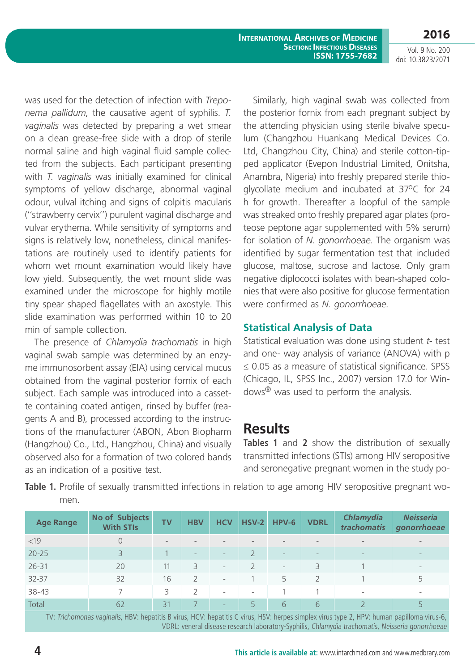**2016**

Vol. 9 No. 200 doi: 10.3823/2071

was used for the detection of infection with *Treponema pallidum*, the causative agent of syphilis. *T. vaginalis* was detected by preparing a wet smear on a clean grease-free slide with a drop of sterile normal saline and high vaginal fluid sample collected from the subjects. Each participant presenting with *T. vaginalis* was initially examined for clinical symptoms of yellow discharge, abnormal vaginal odour, vulval itching and signs of colpitis macularis (''strawberry cervix'') purulent vaginal discharge and vulvar erythema. While sensitivity of symptoms and signs is relatively low, nonetheless, clinical manifestations are routinely used to identify patients for whom wet mount examination would likely have low yield. Subsequently, the wet mount slide was examined under the microscope for highly motile tiny spear shaped flagellates with an axostyle. This slide examination was performed within 10 to 20 min of sample collection.

The presence of *Chlamydia trachomatis* in high vaginal swab sample was determined by an enzyme immunosorbent assay (EIA) using cervical mucus obtained from the vaginal posterior fornix of each subject. Each sample was introduced into a cassette containing coated antigen, rinsed by buffer (reagents A and B), processed according to the instructions of the manufacturer (ABON, Abon Biopharm (Hangzhou) Co., Ltd., Hangzhou, China) and visually observed also for a formation of two colored bands as an indication of a positive test.

Similarly, high vaginal swab was collected from the posterior fornix from each pregnant subject by the attending physician using sterile bivalve speculum (Changzhou Huankang Medical Devices Co. Ltd, Changzhou City, China) and sterile cotton-tipped applicator (Evepon Industrial Limited, Onitsha, Anambra, Nigeria) into freshly prepared sterile thioglycollate medium and incubated at 37°C for 24 h for growth. Thereafter a loopful of the sample was streaked onto freshly prepared agar plates (proteose peptone agar supplemented with 5% serum) for isolation of *N. gonorrhoeae*. The organism was identified by sugar fermentation test that included glucose, maltose, sucrose and lactose. Only gram negative diplococci isolates with bean-shaped colonies that were also positive for glucose fermentation were confirmed as *N. gonorrhoeae.*

#### **Statistical Analysis of Data**

Statistical evaluation was done using student *t*- test and one- way analysis of variance (ANOVA) with p ≤ 0.05 as a measure of statistical significance. SPSS (Chicago, IL, SPSS Inc., 2007) version 17.0 for Windows® was used to perform the analysis.

### **Results**

**Tables 1** and **2** show the distribution of sexually transmitted infections (STIs) among HIV seropositive and seronegative pregnant women in the study po-

**Table 1.** Profile of sexually transmitted infections in relation to age among HIV seropositive pregnant women.

| <b>Age Range</b> | No of Subjects<br><b>With STIs</b> | <b>TV</b>                | <b>HBV</b>               | <b>HCV</b>               | <b>HSV-2</b>             | HPV-6                    | <b>VDRL</b>              | Chlamydia<br>trachomatis | <b>Neisseria</b><br>gonorrhoeae |
|------------------|------------------------------------|--------------------------|--------------------------|--------------------------|--------------------------|--------------------------|--------------------------|--------------------------|---------------------------------|
| <19              | $\Omega$                           | $\overline{\phantom{a}}$ |                          |                          |                          | $\overline{\phantom{a}}$ | $\qquad \qquad -$        | $\overline{\phantom{a}}$ |                                 |
| $20 - 25$        | 3                                  |                          | $\overline{\phantom{0}}$ | $\overline{\phantom{0}}$ |                          | $\overline{\phantom{a}}$ | $\overline{\phantom{a}}$ | $\overline{\phantom{a}}$ | $\overline{\phantom{a}}$        |
| $26 - 31$        | 20                                 |                          | 3                        | $\overline{\phantom{a}}$ |                          | $\overline{\phantom{a}}$ | 3                        |                          | $\overline{\phantom{a}}$        |
| 32-37            | 32                                 | 16                       |                          | $\overline{\phantom{a}}$ |                          | 5                        |                          |                          | 5                               |
| 38-43            |                                    | 3                        | $\mathcal{L}$            | $\overline{\phantom{a}}$ | $\overline{\phantom{a}}$ |                          |                          | $\overline{\phantom{a}}$ | $\overline{\phantom{a}}$        |
| Total            | 62                                 | 31                       |                          | $\overline{\phantom{0}}$ | 5                        | 6                        | 6                        |                          |                                 |

TV: Trichomonas vaginalis, HBV: hepatitis B virus, HCV: hepatitis C virus, HSV: herpes simplex virus type 2, HPV: human papilloma virus-6, VDRL: veneral disease research laboratory-Syphilis, Chlamydia trachomatis, Neisseria gonorrhoeae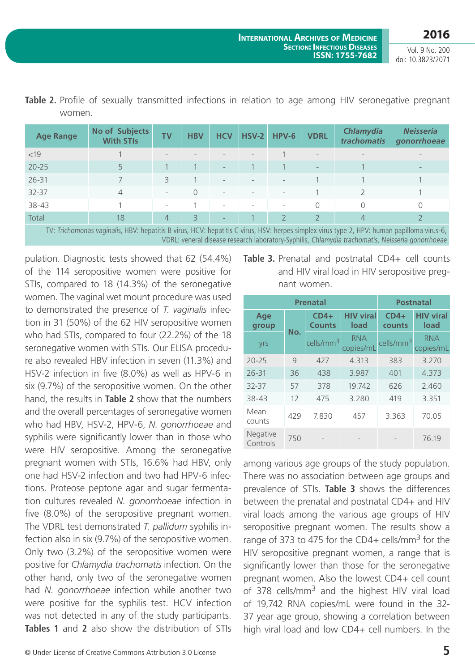Vol. 9 No. 200 doi: 10.3823/2071

| <b>Age Range</b>                                                                                                                      | No of Subjects<br><b>With STIs</b> | <b>TV</b>                | <b>HBV</b>    | <b>HCV</b>               | $HSV-2$                  | $HPV-6$                  | <b>VDRL</b>              | <b>Chlamydia</b><br>trachomatis | <b>Neisseria</b><br>gonorrhoeae |
|---------------------------------------------------------------------------------------------------------------------------------------|------------------------------------|--------------------------|---------------|--------------------------|--------------------------|--------------------------|--------------------------|---------------------------------|---------------------------------|
| <19                                                                                                                                   |                                    |                          |               |                          |                          |                          | $\qquad \qquad -$        | $\overline{\phantom{a}}$        |                                 |
| $20 - 25$                                                                                                                             |                                    |                          |               | $\overline{\phantom{a}}$ |                          |                          | $\overline{\phantom{a}}$ |                                 |                                 |
| $26 - 31$                                                                                                                             |                                    | 3                        |               | $\overline{\phantom{a}}$ |                          | $\overline{\phantom{a}}$ |                          |                                 |                                 |
| $32 - 37$                                                                                                                             | 4                                  | $\overline{\phantom{a}}$ |               | $\overline{\phantom{a}}$ |                          | $\overline{\phantom{a}}$ |                          |                                 |                                 |
| 38-43                                                                                                                                 |                                    | $\overline{\phantom{a}}$ |               | $\overline{\phantom{a}}$ | $\overline{\phantom{a}}$ | $\overline{\phantom{a}}$ | $\Omega$                 | 0                               | $\Omega$                        |
| Total                                                                                                                                 | 18                                 | $\overline{4}$           | $\mathcal{R}$ | $\qquad \qquad -$        |                          |                          |                          | 4                               |                                 |
| TV: Trichamonas vaginalis UDV: honotitis P virus UCV: honotitis C virus USV: hornos simpley virus type 2 UDV: human napilloma virus 6 |                                    |                          |               |                          |                          |                          |                          |                                 |                                 |

**Table 2.** Profile of sexually transmitted infections in relation to age among HIV seronegative pregnant women.

V: herpes simplex virus type 2, HPV: hi VDRL: veneral disease research laboratory-Syphilis, Chlamydia trachomatis, Neisseria gonorrhoeae

pulation. Diagnostic tests showed that 62 (54.4%) of the 114 seropositive women were positive for STIs, compared to 18 (14.3%) of the seronegative women. The vaginal wet mount procedure was used to demonstrated the presence of *T. vaginalis* infection in 31 (50%) of the 62 HIV who had STIs, compared to seronegative women with S re also revealed HBV infection  $HSV-2$  infection in five  $(8.0)$ six (9.7%) of the seropositive women. On the other hand, the results in **Table 2** show that the numbers and the overall percentages of seronegative women who had HBV, HSV-2, HPV-6, *N. gonorrhoeae* and syphilis were significantly lower than in those who were HIV seropositive. Among the seronegative pregnant women with STIs, 16.6% had HBV, only one had HSV-2 infection and two had HPV-6 infections. Proteose peptone agar and sugar fermentation cultures revealed *N. gonorrhoeae* infection in five (8.0%) of the seropositive pregnant women. The VDRL test demonstrated *T. pallidum* syphilis infection also in six (9.7%) of the seropositive women. Only two (3.2%) of the seropositive women were positive for *Chlamydia trachomatis* infection*.* On the other hand, only two of the seronegative women had *N. gonorrhoeae* infection while another two were positive for the syphilis test. HCV infection was not detected in any of the study participants. **Tables 1** and **2** also show the distribution of STIs

| HIV seropositive women  | group      |     | <b>Counts</b>              | lo  |
|-------------------------|------------|-----|----------------------------|-----|
| four (22.2%) of the 18  |            | No. |                            |     |
| TIs. Our ELISA procedu- | <b>Vrs</b> |     | cells/mm <sup>3</sup> copi |     |
| on in seven (11.3%) and | $20 - 25$  | q   | 427                        | 4.1 |
| %) as well as HPV-6 in  | $26 - 31$  | 36  | 438                        | 3.9 |
|                         |            |     |                            |     |

| Table 3. Prenatal and postnatal CD4+ cell counts |
|--------------------------------------------------|
| and HIV viral load in HIV seropositive preg-     |
| nant women.                                      |

|                      | <b>Prenatal</b> | <b>Postnatal</b>        |                          |                       |                          |  |
|----------------------|-----------------|-------------------------|--------------------------|-----------------------|--------------------------|--|
| Age<br>group         | No.             | $CD4+$<br><b>Counts</b> | <b>HIV viral</b><br>load | $CD4+$<br>counts      | <b>HIV viral</b><br>load |  |
| yrs                  |                 | cells/mm <sup>3</sup>   | <b>RNA</b><br>copies/mL  | cells/mm <sup>3</sup> | <b>RNA</b><br>copies/mL  |  |
| $20 - 25$            | $\mathcal{Q}$   | 427                     | 4.313                    | 383                   | 3.270                    |  |
| $26 - 31$            | 36              | 438                     | 3.987                    | 401                   | 4.373                    |  |
| 32-37                | 57              | 378                     | 19.742                   | 626                   | 2.460                    |  |
| 38-43                | 12              | 475                     | 3.280                    | 419                   | 3.351                    |  |
| Mean<br>counts       | 429             | 7.830                   | 457                      | 3.363                 | 70.05                    |  |
| Negative<br>Controls | 750             |                         |                          |                       | 76.19                    |  |

among various age groups of the study population. There was no association between age groups and prevalence of STIs. **Table 3** shows the differences between the prenatal and postnatal CD4+ and HIV viral loads among the various age groups of HIV seropositive pregnant women. The results show a range of 373 to 475 for the CD4+ cells/mm<sup>3</sup> for the HIV seropositive pregnant women, a range that is significantly lower than those for the seronegative pregnant women. Also the lowest CD4+ cell count of 378 cells/mm<sup>3</sup> and the highest HIV viral load of 19,742 RNA copies/mL were found in the 32- 37 year age group, showing a correlation between high viral load and low CD4+ cell numbers. In the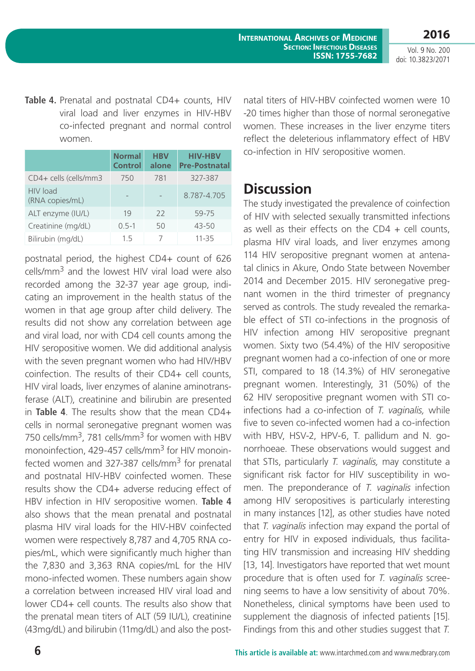**International Archives of Medicine Section: Infectious Diseases ISSN: 1755-7682**

Vol. 9 No. 200 doi: 10.3823/2071

**2016**

Table 4. Prenatal and postnatal CD4+ counts, HIV viral load and liver enzymes in HIV-HBV co-infected pregnant and normal control women.

|                             | <b>Normal</b><br><b>Control</b> | <b>HBV</b><br>alone | <b>HIV-HBV</b><br><b>Pre-Postnatal</b> |
|-----------------------------|---------------------------------|---------------------|----------------------------------------|
| CD4+ cells (cells/mm3       | 750                             | 781                 | 327-387                                |
| HIV load<br>(RNA copies/mL) |                                 |                     | 8.787-4.705                            |
| ALT enzyme (IU/L)           | 19                              | 22                  | 59-75                                  |
| Creatinine (mg/dL)          | $0.5 - 1$                       | 50                  | $43 - 50$                              |
| Bilirubin (mg/dL)           | 1.5                             |                     | 11-35                                  |

postnatal period, the highest CD4+ count of 626 cells/mm3 and the lowest HIV viral load were also recorded among the 32-37 year age group, indicating an improvement in the health status of the women in that age group after child delivery. The results did not show any correlation between age and viral load, nor with CD4 cell counts among the HIV seropositive women. We did additional analysis with the seven pregnant women who had HIV/HBV coinfection. The results of their CD4+ cell counts, HIV viral loads, liver enzymes of alanine aminotransferase (ALT), creatinine and bilirubin are presented in **Table 4**. The results show that the mean CD4+ cells in normal seronegative pregnant women was 750 cells/mm<sup>3</sup>, 781 cells/mm<sup>3</sup> for women with HBV monoinfection, 429-457 cells/mm<sup>3</sup> for HIV monoinfected women and 327-387 cells/ $mm<sup>3</sup>$  for prenatal and postnatal HIV-HBV coinfected women. These results show the CD4+ adverse reducing effect of HBV infection in HIV seropositive women. **Table 4** also shows that the mean prenatal and postnatal plasma HIV viral loads for the HIV-HBV coinfected women were respectively 8,787 and 4,705 RNA copies/mL, which were significantly much higher than the 7,830 and 3,363 RNA copies/mL for the HIV mono-infected women. These numbers again show a correlation between increased HIV viral load and lower CD4+ cell counts. The results also show that the prenatal mean titers of ALT (59 IU/L), creatinine (43mg/dL) and bilirubin (11mg/dL) and also the postnatal titers of HIV-HBV coinfected women were 10 -20 times higher than those of normal seronegative women. These increases in the liver enzyme titers reflect the deleterious inflammatory effect of HBV co-infection in HIV seropositive women.

### **Discussion**

The study investigated the prevalence of coinfection of HIV with selected sexually transmitted infections as well as their effects on the  $CD4 +$  cell counts, plasma HIV viral loads, and liver enzymes among 114 HIV seropositive pregnant women at antenatal clinics in Akure, Ondo State between November 2014 and December 2015. HIV seronegative pregnant women in the third trimester of pregnancy served as controls. The study revealed the remarkable effect of STI co-infections in the prognosis of HIV infection among HIV seropositive pregnant women. Sixty two (54.4%) of the HIV seropositive pregnant women had a co-infection of one or more STI, compared to 18 (14.3%) of HIV seronegative pregnant women. Interestingly, 31 (50%) of the 62 HIV seropositive pregnant women with STI coinfections had a co-infection of *T. vaginalis,* while five to seven co-infected women had a co-infection with HBV, HSV-2, HPV-6, T. pallidum and N. gonorrhoeae. These observations would suggest and that STIs, particularly *T. vaginalis,* may constitute a significant risk factor for HIV susceptibility in women. The preponderance of *T. vaginalis* infection among HIV seropositives is particularly interesting in many instances [12], as other studies have noted that *T. vaginalis* infection may expand the portal of entry for HIV in exposed individuals, thus facilitating HIV transmission and increasing HIV shedding [13, 14]. Investigators have reported that wet mount procedure that is often used for *T. vaginalis* screening seems to have a low sensitivity of about 70%. Nonetheless, clinical symptoms have been used to supplement the diagnosis of infected patients [15]. Findings from this and other studies suggest that *T.*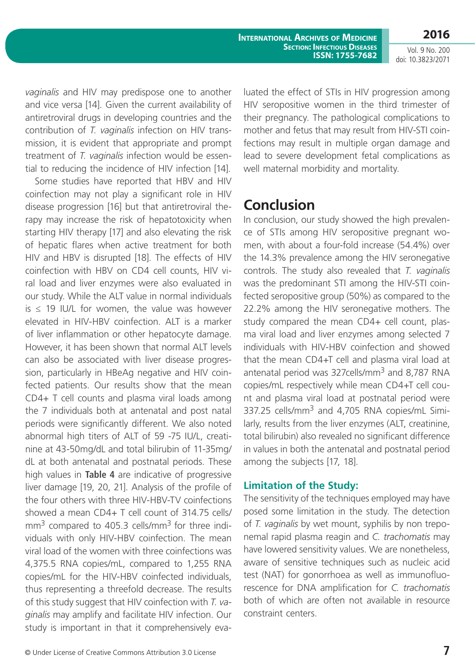**International Archives of Medicine Section: Infectious Diseases ISSN: 1755-7682** **2016**

Vol. 9 No. 200 doi: 10.3823/2071

*vaginalis* and HIV may predispose one to another and vice versa [14]. Given the current availability of antiretroviral drugs in developing countries and the contribution of *T. vaginalis* infection on HIV transmission, it is evident that appropriate and prompt treatment of *T. vaginalis* infection would be essential to reducing the incidence of HIV infection [14].

Some studies have reported that HBV and HIV coinfection may not play a significant role in HIV disease progression [16] but that antiretroviral therapy may increase the risk of hepatotoxicity when starting HIV therapy [17] and also elevating the risk of hepatic flares when active treatment for both HIV and HBV is disrupted [18]. The effects of HIV coinfection with HBV on CD4 cell counts, HIV viral load and liver enzymes were also evaluated in our study. While the ALT value in normal individuals  $is \leq 19$  IU/L for women, the value was however elevated in HIV-HBV coinfection. ALT is a marker of liver inflammation or other hepatocyte damage. However, it has been shown that normal ALT levels can also be associated with liver disease progression, particularly in HBeAg negative and HIV coinfected patients. Our results show that the mean CD4+ T cell counts and plasma viral loads among the 7 individuals both at antenatal and post natal periods were significantly different. We also noted abnormal high titers of ALT of 59 -75 IU/L, creatinine at 43-50mg/dL and total bilirubin of 11-35mg/ dL at both antenatal and postnatal periods. These high values in **Table 4** are indicative of progressive liver damage [19, 20, 21]. Analysis of the profile of the four others with three HIV-HBV-TV coinfections showed a mean CD4+ T cell count of 314.75 cells/  $mm<sup>3</sup>$  compared to 405.3 cells/mm<sup>3</sup> for three individuals with only HIV-HBV coinfection. The mean viral load of the women with three coinfections was 4,375.5 RNA copies/mL, compared to 1,255 RNA copies/mL for the HIV-HBV coinfected individuals, thus representing a threefold decrease. The results of this study suggest that HIV coinfection with *T. vaginalis* may amplify and facilitate HIV infection. Our study is important in that it comprehensively evaluated the effect of STIs in HIV progression among HIV seropositive women in the third trimester of their pregnancy. The pathological complications to mother and fetus that may result from HIV-STI coinfections may result in multiple organ damage and lead to severe development fetal complications as well maternal morbidity and mortality.

# **Conclusion**

In conclusion, our study showed the high prevalence of STIs among HIV seropositive pregnant women, with about a four-fold increase (54.4%) over the 14.3% prevalence among the HIV seronegative controls. The study also revealed that *T. vaginalis* was the predominant STI among the HIV-STI coinfected seropositive group (50%) as compared to the 22.2% among the HIV seronegative mothers. The study compared the mean CD4+ cell count, plasma viral load and liver enzymes among selected 7 individuals with HIV-HBV coinfection and showed that the mean CD4+T cell and plasma viral load at antenatal period was 327 cells/mm<sup>3</sup> and 8,787 RNA copies/mL respectively while mean CD4+T cell count and plasma viral load at postnatal period were 337.25 cells/mm<sup>3</sup> and 4,705 RNA copies/mL Similarly, results from the liver enzymes (ALT, creatinine, total bilirubin) also revealed no significant difference in values in both the antenatal and postnatal period among the subjects [17, 18].

#### **Limitation of the Study:**

The sensitivity of the techniques employed may have posed some limitation in the study. The detection of *T. vaginalis* by wet mount, syphilis by non treponemal rapid plasma reagin and *C. trachomatis* may have lowered sensitivity values. We are nonetheless, aware of sensitive techniques such as nucleic acid test (NAT) for gonorrhoea as well as immunofluorescence for DNA amplification for *C. trachomatis*  both of which are often not available in resource constraint centers.